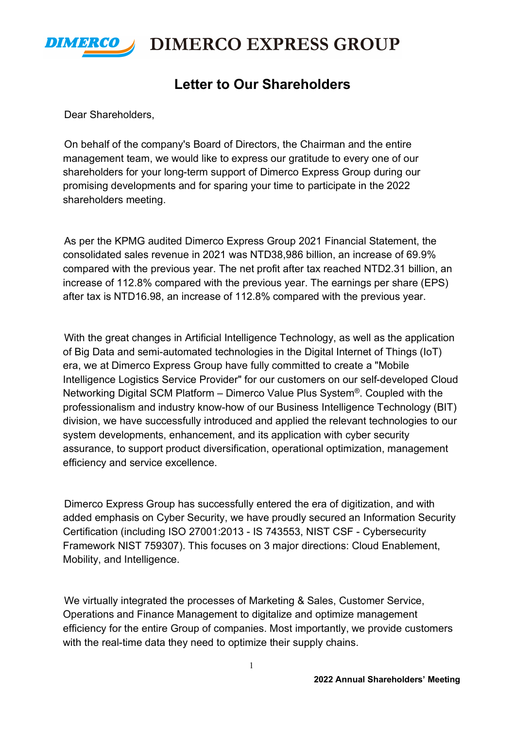

**DIMERCO EXPRESS GROUP** 

## **Letter to Our Shareholders**

Dear Shareholders,

On behalf of the company's Board of Directors, the Chairman and the entire management team, we would like to express our gratitude to every one of our shareholders for your long-term support of Dimerco Express Group during our promising developments and for sparing your time to participate in the 2022 shareholders meeting.

As per the KPMG audited Dimerco Express Group 2021 Financial Statement, the consolidated sales revenue in 2021 was NTD38,986 billion, an increase of 69.9% compared with the previous year. The net profit after tax reached NTD2.31 billion, an increase of 112.8% compared with the previous year. The earnings per share (EPS) after tax is NTD16.98, an increase of 112.8% compared with the previous year.

With the great changes in Artificial Intelligence Technology, as well as the application of Big Data and semi-automated technologies in the Digital Internet of Things (IoT) era, we at Dimerco Express Group have fully committed to create a "Mobile Intelligence Logistics Service Provider" for our customers on our self-developed Cloud Networking Digital SCM Platform – Dimerco Value Plus System®. Coupled with the professionalism and industry know-how of our Business Intelligence Technology (BIT) division, we have successfully introduced and applied the relevant technologies to our system developments, enhancement, and its application with cyber security assurance, to support product diversification, operational optimization, management efficiency and service excellence.

Dimerco Express Group has successfully entered the era of digitization, and with added emphasis on Cyber Security, we have proudly secured an Information Security Certification (including ISO 27001:2013 - IS 743553, NIST CSF - Cybersecurity Framework NIST 759307). This focuses on 3 major directions: Cloud Enablement, Mobility, and Intelligence.

We virtually integrated the processes of Marketing & Sales, Customer Service, Operations and Finance Management to digitalize and optimize management efficiency for the entire Group of companies. Most importantly, we provide customers with the real-time data they need to optimize their supply chains.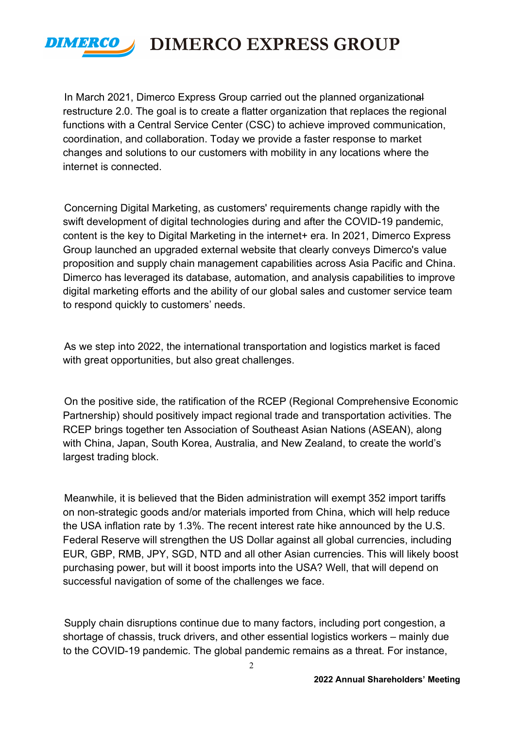

**DIMERCO EXPRESS GROUP** 

In March 2021, Dimerco Express Group carried out the planned organizational restructure 2.0. The goal is to create a flatter organization that replaces the regional functions with a Central Service Center (CSC) to achieve improved communication, coordination, and collaboration. Today we provide a faster response to market changes and solutions to our customers with mobility in any locations where the internet is connected.

Concerning Digital Marketing, as customers' requirements change rapidly with the swift development of digital technologies during and after the COVID-19 pandemic, content is the key to Digital Marketing in the internet+ era. In 2021, Dimerco Express Group launched an upgraded external website that clearly conveys Dimerco's value proposition and supply chain management capabilities across Asia Pacific and China. Dimerco has leveraged its database, automation, and analysis capabilities to improve digital marketing efforts and the ability of our global sales and customer service team to respond quickly to customers' needs.

As we step into 2022, the international transportation and logistics market is faced with great opportunities, but also great challenges.

On the positive side, the ratification of the RCEP (Regional Comprehensive Economic Partnership) should positively impact regional trade and transportation activities. The RCEP brings together ten Association of Southeast Asian Nations (ASEAN), along with China, Japan, South Korea, Australia, and New Zealand, to create the world's largest trading block.

Meanwhile, it is believed that the Biden administration will exempt 352 import tariffs on non-strategic goods and/or materials imported from China, which will help reduce the USA inflation rate by 1.3%. The recent interest rate hike announced by the U.S. Federal Reserve will strengthen the US Dollar against all global currencies, including EUR, GBP, RMB, JPY, SGD, NTD and all other Asian currencies. This will likely boost purchasing power, but will it boost imports into the USA? Well, that will depend on successful navigation of some of the challenges we face.

Supply chain disruptions continue due to many factors, including port congestion, a shortage of chassis, truck drivers, and other essential logistics workers – mainly due to the COVID-19 pandemic. The global pandemic remains as a threat. For instance,